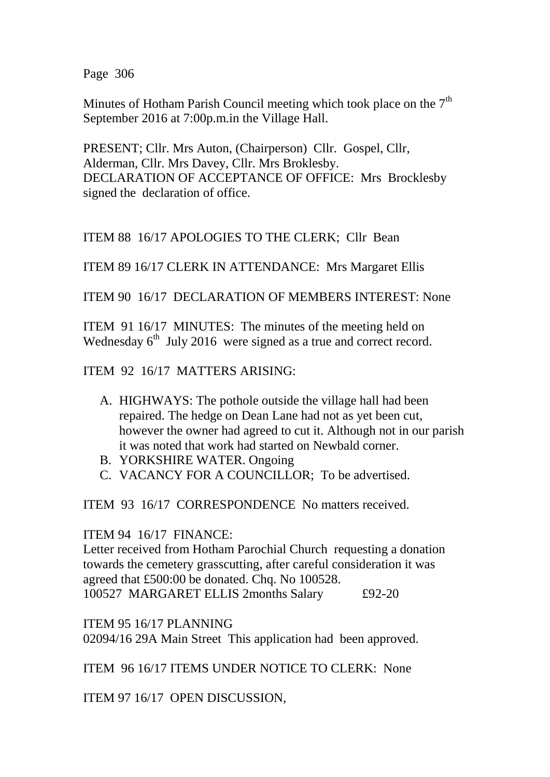Page 306

Minutes of Hotham Parish Council meeting which took place on the  $7<sup>th</sup>$ September 2016 at 7:00p.m.in the Village Hall.

PRESENT; Cllr. Mrs Auton, (Chairperson) Cllr. Gospel, Cllr, Alderman, Cllr. Mrs Davey, Cllr. Mrs Broklesby. DECLARATION OF ACCEPTANCE OF OFFICE: Mrs Brocklesby signed the declaration of office.

ITEM 88 16/17 APOLOGIES TO THE CLERK; Cllr Bean

ITEM 89 16/17 CLERK IN ATTENDANCE: Mrs Margaret Ellis

ITEM 90 16/17 DECLARATION OF MEMBERS INTEREST: None

ITEM 91 16/17 MINUTES: The minutes of the meeting held on Wednesday 6<sup>th</sup> July 2016 were signed as a true and correct record.

ITEM 92 16/17 MATTERS ARISING:

- A. HIGHWAYS: The pothole outside the village hall had been repaired. The hedge on Dean Lane had not as yet been cut, however the owner had agreed to cut it. Although not in our parish it was noted that work had started on Newbald corner.
- B. YORKSHIRE WATER. Ongoing
- C. VACANCY FOR A COUNCILLOR; To be advertised.

ITEM 93 16/17 CORRESPONDENCE No matters received.

ITEM 94 16/17 FINANCE:

Letter received from Hotham Parochial Church requesting a donation towards the cemetery grasscutting, after careful consideration it was agreed that £500:00 be donated. Chq. No 100528. 100527 MARGARET ELLIS 2months Salary £92-20

ITEM 95 16/17 PLANNING 02094/16 29A Main Street This application had been approved.

ITEM 96 16/17 ITEMS UNDER NOTICE TO CLERK: None

ITEM 97 16/17 OPEN DISCUSSION,